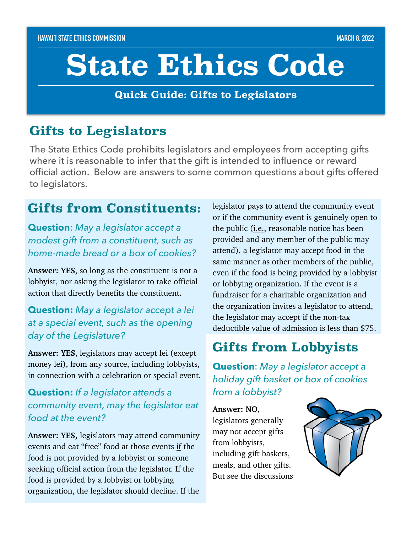# **State Ethics Code**

**Quick Guide: Gifts to Legislators**

## **Gifts to Legislators**

The State Ethics Code prohibits legislators and employees from accepting gifts where it is reasonable to infer that the gift is intended to influence or reward official action. Below are answers to some common questions about gifts offered to legislators.

## **Gifts from Constituents:**

**Question**: *May a legislator accept a modest gift from a constituent, such as home-made bread or a box of cookies?*

**Answer: YES**, so long as the constituent is not a lobbyist, nor asking the legislator to take official action that directly benefits the constituent.

## **Question:** *May a legislator accept a lei at a special event, such as the opening day of the Legislature?*

**Answer: YES**, legislators may accept lei (except money lei), from any source, including lobbyists, in connection with a celebration or special event.

## **Question:** *If a legislator attends a community event, may the legislator eat food at the event?*

**Answer: YES,** legislators may attend community events and eat "free" food at those events if the food is not provided by a lobbyist or someone seeking official action from the legislator. If the food is provided by a lobbyist or lobbying organization, the legislator should decline. If the

legislator pays to attend the community event or if the community event is genuinely open to the public (*i.e.*, reasonable notice has been provided and any member of the public may attend), a legislator may accept food in the same manner as other members of the public, even if the food is being provided by a lobbyist or lobbying organization. If the event is a fundraiser for a charitable organization and the organization invites a legislator to attend, the legislator may accept if the non-tax deductible value of admission is less than \$75.

# **Gifts from Lobbyists**

**Question**: *May a legislator accept a holiday gift basket or box of cookies from a lobbyist?*

**Answer: NO**, legislators generally may not accept gifts from lobbyists, including gift baskets, meals, and other gifts. But see the discussions